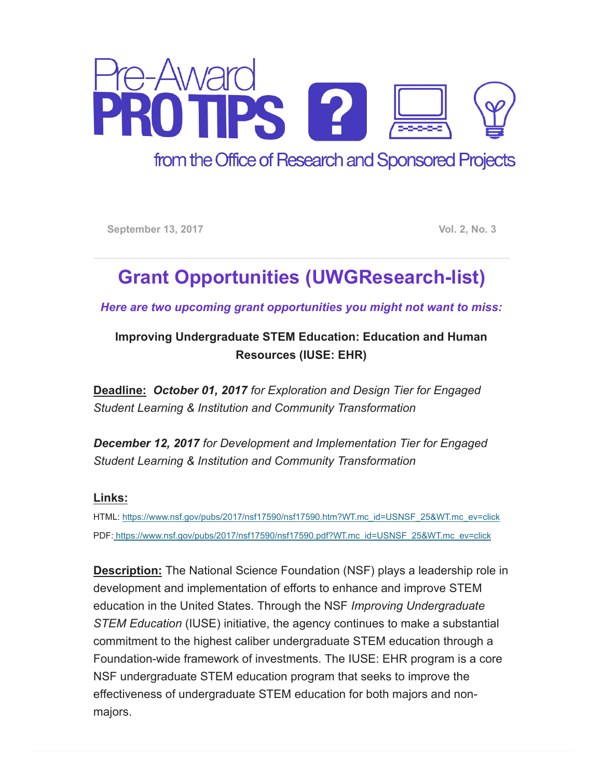

from the Office of Research and Sponsored Projects

September 13, 2017 **Vol. 2, No. 3** 

## Grant Opportunities (UWGResearch-list)

Here are two upcoming grant opportunities you might not want to miss:

Improving Undergraduate STEM Education: Education and Human Resources (IUSE: EHR)

Deadline: October 01, 2017 for Exploration and Design Tier for Engaged Student Learning & Institution and Community Transformation

December 12, 2017 for Development and Implementation Tier for Engaged Student Learning & Institution and Community Transformation

## Links:

HTML: [https://www.nsf.gov/pubs/2017/nsf17590/nsf17590.htm?WT.mc\\_id=USNSF\\_25&WT.mc\\_ev=click](https://www.nsf.gov/pubs/2017/nsf17590/nsf17590.htm?WT.mc_id=USNSF_25&WT.mc_ev=click) PDF: [https://www.nsf.gov/pubs/2017/nsf17590/nsf17590.pdf?WT.mc\\_id=USNSF\\_25&WT.mc\\_ev=click](https://www.nsf.gov/pubs/2017/nsf17590/nsf17590.pdf?WT.mc_id=USNSF_25&WT.mc_ev=click)

Description: The National Science Foundation (NSF) plays a leadership role in development and implementation of efforts to enhance and improve STEM education in the United States. Through the NSF Improving Undergraduate STEM Education (IUSE) initiative, the agency continues to make a substantial commitment to the highest caliber undergraduate STEM education through a Foundation-wide framework of investments. The IUSE: EHR program is a core NSF undergraduate STEM education program that seeks to improve the effectiveness of undergraduate STEM education for both majors and nonmajors.